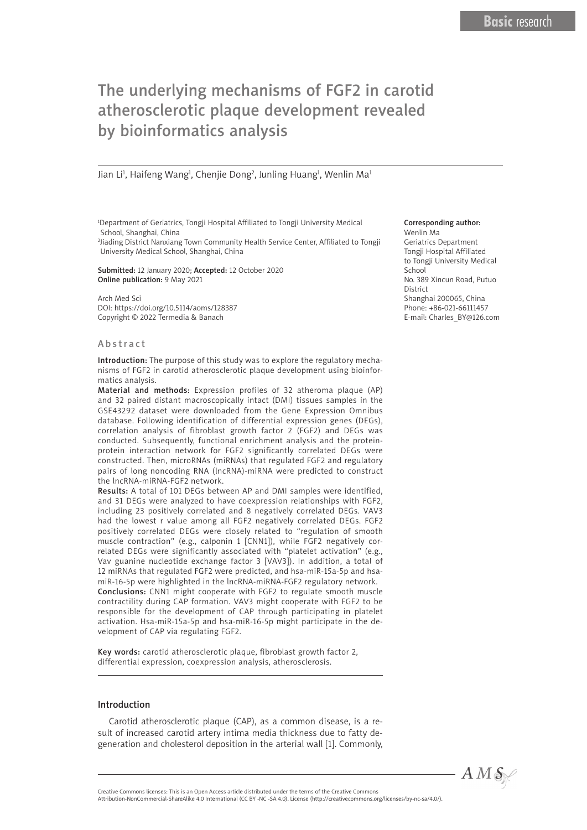# The underlying mechanisms of FGF2 in carotid atherosclerotic plaque development revealed by bioinformatics analysis

Jian Li<sup>1</sup>, Haifeng Wang<sup>1</sup>, Chenjie Dong<sup>2</sup>, Junling Huang<sup>1</sup>, Wenlin Ma<sup>1</sup>

1 Department of Geriatrics, Tongji Hospital Affiliated to Tongji University Medical School, Shanghai, China

2 Jiading District Nanxiang Town Community Health Service Center, Affiliated to Tongji University Medical School, Shanghai, China

Submitted: 12 January 2020; Accepted: 12 October 2020 Online publication: 9 May 2021

Arch Med Sci DOI: https://doi.org/10.5114/aoms/128387 Copyright © 2022 Termedia & Banach

#### Abstract

Introduction: The purpose of this study was to explore the regulatory mechanisms of FGF2 in carotid atherosclerotic plaque development using bioinformatics analysis.

Material and methods: Expression profiles of 32 atheroma plaque (AP) and 32 paired distant macroscopically intact (DMI) tissues samples in the GSE43292 dataset were downloaded from the Gene Expression Omnibus database. Following identification of differential expression genes (DEGs), correlation analysis of fibroblast growth factor 2 (FGF2) and DEGs was conducted. Subsequently, functional enrichment analysis and the proteinprotein interaction network for FGF2 significantly correlated DEGs were constructed. Then, microRNAs (miRNAs) that regulated FGF2 and regulatory pairs of long noncoding RNA (lncRNA)-miRNA were predicted to construct the lncRNA-miRNA-FGF2 network.

Results: A total of 101 DEGs between AP and DMI samples were identified, and 31 DEGs were analyzed to have coexpression relationships with FGF2, including 23 positively correlated and 8 negatively correlated DEGs. VAV3 had the lowest r value among all FGF2 negatively correlated DEGs. FGF2 positively correlated DEGs were closely related to "regulation of smooth muscle contraction" (e.g., calponin 1 [CNN1]), while FGF2 negatively correlated DEGs were significantly associated with "platelet activation" (e.g., Vav guanine nucleotide exchange factor 3 [VAV3]). In addition, a total of 12 miRNAs that regulated FGF2 were predicted, and hsa-miR-15a-5p and hsamiR-16-5p were highlighted in the lncRNA-miRNA-FGF2 regulatory network. Conclusions: CNN1 might cooperate with FGF2 to regulate smooth muscle contractility during CAP formation. VAV3 might cooperate with FGF2 to be responsible for the development of CAP through participating in platelet activation. Hsa-miR-15a-5p and hsa-miR-16-5p might participate in the development of CAP via regulating FGF2.

Key words: carotid atherosclerotic plaque, fibroblast growth factor 2, differential expression, coexpression analysis, atherosclerosis.

#### Introduction

Carotid atherosclerotic plaque (CAP), as a common disease, is a result of increased carotid artery intima media thickness due to fatty degeneration and cholesterol deposition in the arterial wall [1]. Commonly,

#### Corresponding author: Wenlin Ma

Geriatrics Department Tongji Hospital Affiliated to Tongji University Medical School No. 389 Xincun Road, Putuo **District** Shanghai 200065, China Phone: +86-021-66111457 E-mail: Charles\_BY@126.com

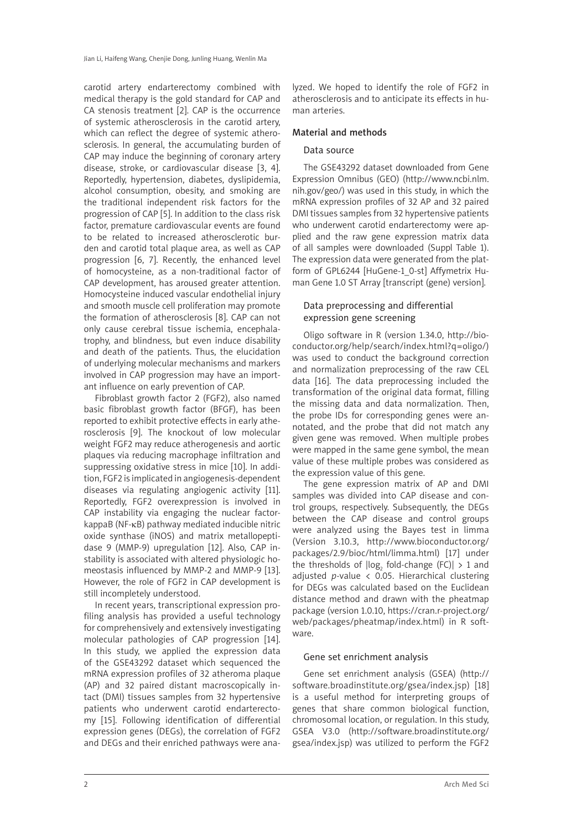carotid artery endarterectomy combined with medical therapy is the gold standard for CAP and CA stenosis treatment [2]. CAP is the occurrence of systemic atherosclerosis in the carotid artery, which can reflect the degree of systemic atherosclerosis. In general, the accumulating burden of CAP may induce the beginning of coronary artery disease, stroke, or cardiovascular disease [3, 4]. Reportedly, hypertension, diabetes, dyslipidemia, alcohol consumption, obesity, and smoking are the traditional independent risk factors for the progression of CAP [5]. In addition to the class risk factor, premature cardiovascular events are found to be related to increased atherosclerotic burden and carotid total plaque area, as well as CAP progression [6, 7]. Recently, the enhanced level of homocysteine, as a non-traditional factor of CAP development, has aroused greater attention. Homocysteine induced vascular endothelial injury and smooth muscle cell proliferation may promote the formation of atherosclerosis [8]. CAP can not only cause cerebral tissue ischemia, encephalatrophy, and blindness, but even induce disability and death of the patients. Thus, the elucidation of underlying molecular mechanisms and markers involved in CAP progression may have an important influence on early prevention of CAP.

Fibroblast growth factor 2 (FGF2), also named basic fibroblast growth factor (BFGF), has been reported to exhibit protective effects in early atherosclerosis [9]. The knockout of low molecular weight FGF2 may reduce atherogenesis and aortic plaques via reducing macrophage infiltration and suppressing oxidative stress in mice [10]. In addition, FGF2 is implicated in angiogenesis-dependent diseases via regulating angiogenic activity [11]. Reportedly, FGF2 overexpression is involved in CAP instability via engaging the nuclear factorkappaB (NF-κB) pathway mediated inducible nitric oxide synthase (iNOS) and matrix metallopeptidase 9 (MMP-9) upregulation [12]. Also, CAP instability is associated with altered physiologic homeostasis influenced by MMP-2 and MMP-9 [13]. However, the role of FGF2 in CAP development is still incompletely understood.

In recent years, transcriptional expression profiling analysis has provided a useful technology for comprehensively and extensively investigating molecular pathologies of CAP progression [14]. In this study, we applied the expression data of the GSE43292 dataset which sequenced the mRNA expression profiles of 32 atheroma plaque (AP) and 32 paired distant macroscopically intact (DMI) tissues samples from 32 hypertensive patients who underwent carotid endarterectomy [15]. Following identification of differential expression genes (DEGs), the correlation of FGF2 and DEGs and their enriched pathways were analyzed. We hoped to identify the role of FGF2 in atherosclerosis and to anticipate its effects in human arteries.

#### Material and methods

#### Data source

The GSE43292 dataset downloaded from Gene Expression Omnibus (GEO) (http://www.ncbi.nlm. nih.gov/geo/) was used in this study, in which the mRNA expression profiles of 32 AP and 32 paired DMI tissues samples from 32 hypertensive patients who underwent carotid endarterectomy were applied and the raw gene expression matrix data of all samples were downloaded (Suppl Table 1). The expression data were generated from the platform of GPL6244 [HuGene-1\_0-st] Affymetrix Human Gene 1.0 ST Array [transcript (gene) version].

### Data preprocessing and differential expression gene screening

Oligo software in R (version 1.34.0, http://bioconductor.org/help/search/index.html?q=oligo/) was used to conduct the background correction and normalization preprocessing of the raw CEL data [16]. The data preprocessing included the transformation of the original data format, filling the missing data and data normalization. Then, the probe IDs for corresponding genes were annotated, and the probe that did not match any given gene was removed. When multiple probes were mapped in the same gene symbol, the mean value of these multiple probes was considered as the expression value of this gene.

The gene expression matrix of AP and DMI samples was divided into CAP disease and control groups, respectively. Subsequently, the DEGs between the CAP disease and control groups were analyzed using the Bayes test in limma (Version 3.10.3, http://www.bioconductor.org/ packages/2.9/bioc/html/limma.html) [17] under the thresholds of  $\log_2$  fold-change (FC)|  $>1$  and adjusted *p*-value < 0.05. Hierarchical clustering for DEGs was calculated based on the Euclidean distance method and drawn with the pheatmap package (version 1.0.10, https://cran.r-project.org/ web/packages/pheatmap/index.html) in R software.

#### Gene set enrichment analysis

Gene set enrichment analysis (GSEA) (http:// software.broadinstitute.org/gsea/index.jsp) [18] is a useful method for interpreting groups of genes that share common biological function, chromosomal location, or regulation. In this study, GSEA V3.0 (http://software.broadinstitute.org/ gsea/index.jsp) was utilized to perform the FGF2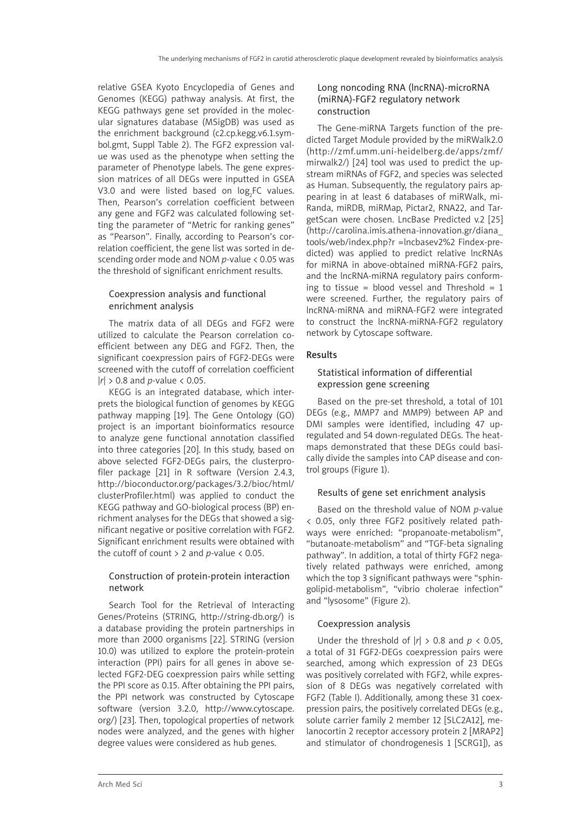relative GSEA Kyoto Encyclopedia of Genes and Genomes (KEGG) pathway analysis. At first, the KEGG pathways gene set provided in the molecular signatures database (MSigDB) was used as the enrichment background (c2.cp.kegg.v6.1.symbol.gmt, Suppl Table 2). The FGF2 expression value was used as the phenotype when setting the parameter of Phenotype labels. The gene expression matrices of all DEGs were inputted in GSEA V3.0 and were listed based on  $log_2$ FC values. Then, Pearson's correlation coefficient between any gene and FGF2 was calculated following setting the parameter of "Metric for ranking genes" as "Pearson". Finally, according to Pearson's correlation coefficient, the gene list was sorted in descending order mode and NOM *p*-value < 0.05 was the threshold of significant enrichment results.

## Coexpression analysis and functional enrichment analysis

The matrix data of all DEGs and FGF2 were utilized to calculate the Pearson correlation coefficient between any DEG and FGF2. Then, the significant coexpression pairs of FGF2-DEGs were screened with the cutoff of correlation coefficient |*r*| > 0.8 and *p*-value < 0.05.

KEGG is an integrated database, which interprets the biological function of genomes by KEGG pathway mapping [19]. The Gene Ontology (GO) project is an important bioinformatics resource to analyze gene functional annotation classified into three categories [20]. In this study, based on above selected FGF2-DEGs pairs, the clusterprofiler package [21] in R software (Version 2.4.3, http://bioconductor.org/packages/3.2/bioc/html/ clusterProfiler.html) was applied to conduct the KEGG pathway and GO-biological process (BP) enrichment analyses for the DEGs that showed a significant negative or positive correlation with FGF2. Significant enrichment results were obtained with the cutoff of count > 2 and *p*-value < 0.05.

## Construction of protein-protein interaction network

Search Tool for the Retrieval of Interacting Genes/Proteins (STRING, http://string-db.org/) is a database providing the protein partnerships in more than 2000 organisms [22]. STRING (version 10.0) was utilized to explore the protein-protein interaction (PPI) pairs for all genes in above selected FGF2-DEG coexpression pairs while setting the PPI score as 0.15. After obtaining the PPI pairs, the PPI network was constructed by Cytoscape software (version 3.2.0, http://www.cytoscape. org/) [23]. Then, topological properties of network nodes were analyzed, and the genes with higher degree values were considered as hub genes.

## Long noncoding RNA (lncRNA)-microRNA (miRNA)-FGF2 regulatory network construction

The Gene-miRNA Targets function of the predicted Target Module provided by the miRWalk2.0 (http://zmf.umm.uni-heidelberg.de/apps/zmf/ mirwalk2/) [24] tool was used to predict the upstream miRNAs of FGF2, and species was selected as Human. Subsequently, the regulatory pairs appearing in at least 6 databases of miRWalk, mi-Randa, miRDB, miRMap, Pictar2, RNA22, and TargetScan were chosen. LncBase Predicted v.2 [25] (http://carolina.imis.athena-innovation.gr/diana\_ tools/web/index.php?r =lncbasev2%2 Findex-predicted) was applied to predict relative lncRNAs for miRNA in above-obtained miRNA-FGF2 pairs, and the lncRNA-miRNA regulatory pairs conforming to tissue = blood vessel and Threshold =  $1$ were screened. Further, the regulatory pairs of lncRNA-miRNA and miRNA-FGF2 were integrated to construct the lncRNA-miRNA-FGF2 regulatory network by Cytoscape software.

## Results

## Statistical information of differential expression gene screening

Based on the pre-set threshold, a total of 101 DEGs (e.g., MMP7 and MMP9) between AP and DMI samples were identified, including 47 upregulated and 54 down-regulated DEGs. The heatmaps demonstrated that these DEGs could basically divide the samples into CAP disease and control groups (Figure 1).

## Results of gene set enrichment analysis

Based on the threshold value of NOM *p*-value < 0.05, only three FGF2 positively related pathways were enriched: "propanoate-metabolism", "butanoate-metabolism" and "TGF-beta signaling pathway". In addition, a total of thirty FGF2 negatively related pathways were enriched, among which the top 3 significant pathways were "sphingolipid-metabolism", "vibrio cholerae infection" and "lysosome" (Figure 2).

## Coexpression analysis

Under the threshold of  $|r| > 0.8$  and  $p < 0.05$ , a total of 31 FGF2-DEGs coexpression pairs were searched, among which expression of 23 DEGs was positively correlated with FGF2, while expression of 8 DEGs was negatively correlated with FGF2 (Table I). Additionally, among these 31 coexpression pairs, the positively correlated DEGs (e.g., solute carrier family 2 member 12 [SLC2A12], melanocortin 2 receptor accessory protein 2 [MRAP2] and stimulator of chondrogenesis 1 [SCRG1]), as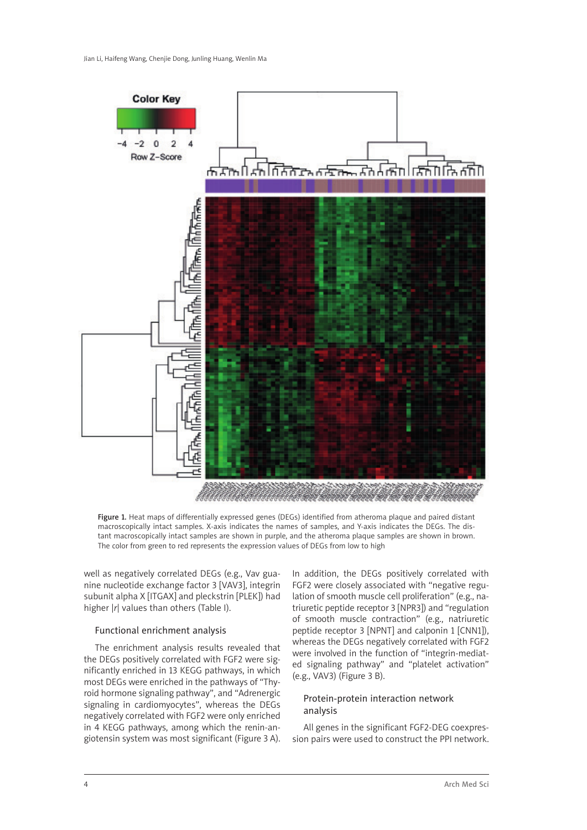

Figure 1. Heat maps of differentially expressed genes (DEGs) identified from atheroma plaque and paired distant macroscopically intact samples. X-axis indicates the names of samples, and Y-axis indicates the DEGs. The distant macroscopically intact samples are shown in purple, and the atheroma plaque samples are shown in brown. The color from green to red represents the expression values of DEGs from low to high

well as negatively correlated DEGs (e.g., Vav guanine nucleotide exchange factor 3 [VAV3], integrin subunit alpha X [ITGAX] and pleckstrin [PLEK]) had higher |*r*| values than others (Table I).

#### Functional enrichment analysis

The enrichment analysis results revealed that the DEGs positively correlated with FGF2 were significantly enriched in 13 KEGG pathways, in which most DEGs were enriched in the pathways of "Thyroid hormone signaling pathway", and "Adrenergic signaling in cardiomyocytes", whereas the DEGs negatively correlated with FGF2 were only enriched in 4 KEGG pathways, among which the renin-angiotensin system was most significant (Figure 3 A). In addition, the DEGs positively correlated with FGF2 were closely associated with "negative regulation of smooth muscle cell proliferation" (e.g., natriuretic peptide receptor 3 [NPR3]) and "regulation of smooth muscle contraction" (e.g., natriuretic peptide receptor 3 [NPNT] and calponin 1 [CNN1]), whereas the DEGs negatively correlated with FGF2 were involved in the function of "integrin-mediated signaling pathway" and "platelet activation" (e.g., VAV3) (Figure 3 B).

## Protein-protein interaction network analysis

All genes in the significant FGF2-DEG coexpression pairs were used to construct the PPI network.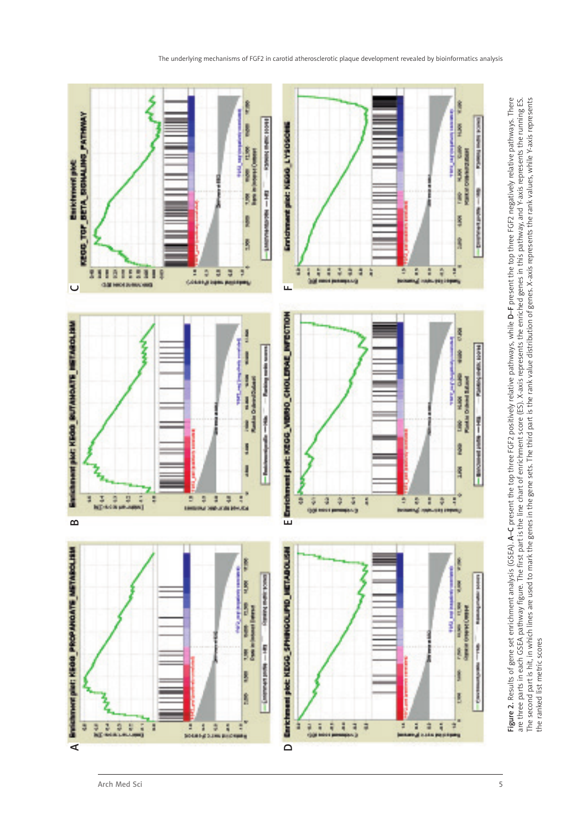

**rigure** 2. Results of gene set enficinment analysis (Losen), A–C present the up time tor 2 positively relativelys, while D–T present the up time For 2 negatively relative patriways. Intered are three parts in each GSEA pa **A–C** present the top three FGF2 positively relative pathways, while **D–F** present the top three FGF2 negatively relative pathways. There are three parts in each GSEA pathway figure. The first part is the line chart of enrichment score (ES). X-axis represents the enriched genes in this pathway, and Y-axis represents the running ES. The second part is hit, in which lines are used to mark the genes in the gene sets. The third part is the rank value distribution of genes. X-axis represents the rank values, while Y-axis represents Figure 2. Results of gene set enrichment analysis (GSEA). A-C present the top three FGF2 positively relative pathways, while D-F present the top three FGF2 negatively relative pathways. There Figure 2. Results of gene set enrichment analysis (GSEA). the ranked list metric scores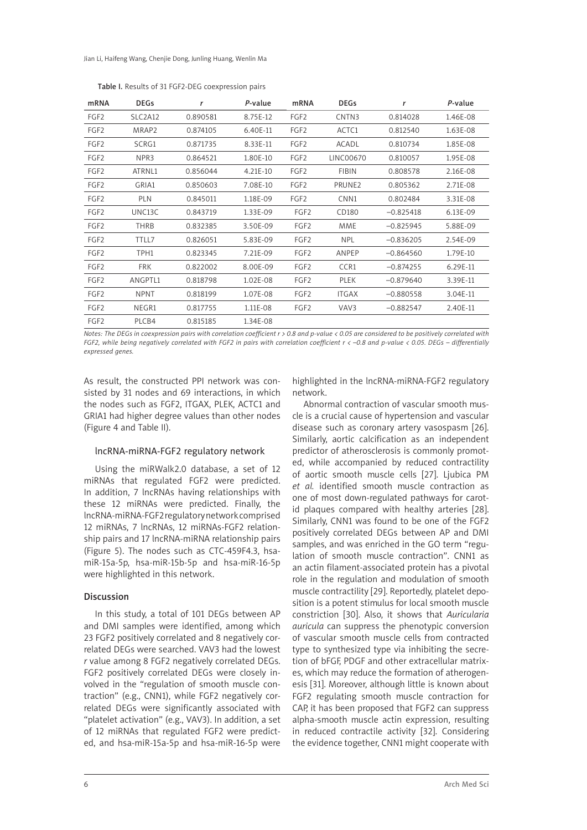Jian Li, Haifeng Wang, Chenjie Dong, Junling Huang, Wenlin Ma

| mRNA             | <b>DEGs</b> | r        | P-value  | mRNA             | <b>DEGs</b>        | r           | P-value  |
|------------------|-------------|----------|----------|------------------|--------------------|-------------|----------|
| FGF <sub>2</sub> | SLC2A12     | 0.890581 | 8.75E-12 | FGF <sub>2</sub> | CNTN3              | 0.814028    | 1.46E-08 |
| FGF <sub>2</sub> | MRAP2       | 0.874105 | 6.40E-11 | FGF <sub>2</sub> | ACTC1              | 0.812540    | 1.63E-08 |
| FGF <sub>2</sub> | SCRG1       | 0.871735 | 8.33E-11 | FGF <sub>2</sub> | <b>ACADL</b>       | 0.810734    | 1.85E-08 |
| FGF <sub>2</sub> | NPR3        | 0.864521 | 1.80E-10 | FGF <sub>2</sub> | LINC00670          | 0.810057    | 1.95E-08 |
| FGF <sub>2</sub> | ATRNL1      | 0.856044 | 4.21E-10 | FGF <sub>2</sub> | <b>FIBIN</b>       | 0.808578    | 2.16E-08 |
| FGF <sub>2</sub> | GRIA1       | 0.850603 | 7.08E-10 | FGF <sub>2</sub> | PRUNE <sub>2</sub> | 0.805362    | 2.71E-08 |
| FGF <sub>2</sub> | <b>PLN</b>  | 0.845011 | 1.18E-09 | FGF <sub>2</sub> | CNN <sub>1</sub>   | 0.802484    | 3.31E-08 |
| FGF <sub>2</sub> | UNC13C      | 0.843719 | 1.33E-09 | FGF <sub>2</sub> | CD180              | $-0.825418$ | 6.13E-09 |
| FGF <sub>2</sub> | <b>THRB</b> | 0.832385 | 3.50E-09 | FGF <sub>2</sub> | <b>MME</b>         | $-0.825945$ | 5.88E-09 |
| FGF <sub>2</sub> | TTLL7       | 0.826051 | 5.83E-09 | FGF <sub>2</sub> | <b>NPL</b>         | $-0.836205$ | 2.54E-09 |
| FGF <sub>2</sub> | TPH1        | 0.823345 | 7.21E-09 | FGF <sub>2</sub> | ANPEP              | $-0.864560$ | 1.79E-10 |
| FGF <sub>2</sub> | <b>FRK</b>  | 0.822002 | 8.00E-09 | FGF <sub>2</sub> | CCR1               | $-0.874255$ | 6.29E-11 |
| FGF <sub>2</sub> | ANGPTL1     | 0.818798 | 1.02E-08 | FGF <sub>2</sub> | <b>PLEK</b>        | $-0.879640$ | 3.39E-11 |
| FGF <sub>2</sub> | <b>NPNT</b> | 0.818199 | 1.07E-08 | FGF <sub>2</sub> | <b>ITGAX</b>       | $-0.880558$ | 3.04E-11 |
| FGF <sub>2</sub> | NEGR1       | 0.817755 | 1.11E-08 | FGF <sub>2</sub> | VAV3               | $-0.882547$ | 2.40E-11 |
| FGF <sub>2</sub> | PLCB4       | 0.815185 | 1.34E-08 |                  |                    |             |          |

Table I. Results of 31 FGF2-DEG coexpression pairs

*Notes: The DEGs in coexpression pairs with correlation coefficient r > 0.8 and p-value < 0.05 are considered to be positively correlated with FGF2, while being negatively correlated with FGF2 in pairs with correlation coefficient r < –0.8 and p-value < 0.05. DEGs – differentially expressed genes.*

As result, the constructed PPI network was consisted by 31 nodes and 69 interactions, in which the nodes such as FGF2, ITGAX, PLEK, ACTC1 and GRIA1 had higher degree values than other nodes (Figure 4 and Table II).

#### lncRNA-miRNA-FGF2 regulatory network

Using the miRWalk2.0 database, a set of 12 miRNAs that regulated FGF2 were predicted. In addition, 7 lncRNAs having relationships with these 12 miRNAs were predicted. Finally, the lncRNA-miRNA-FGF2 regulatory network comprised 12 miRNAs, 7 lncRNAs, 12 miRNAs-FGF2 relationship pairs and 17 lncRNA-miRNA relationship pairs (Figure 5). The nodes such as CTC-459F4.3, hsamiR-15a-5p, hsa-miR-15b-5p and hsa-miR-16-5p were highlighted in this network.

#### **Discussion**

In this study, a total of 101 DEGs between AP and DMI samples were identified, among which 23 FGF2 positively correlated and 8 negatively correlated DEGs were searched. VAV3 had the lowest *r* value among 8 FGF2 negatively correlated DEGs. FGF2 positively correlated DEGs were closely involved in the "regulation of smooth muscle contraction" (e.g., CNN1), while FGF2 negatively correlated DEGs were significantly associated with "platelet activation" (e.g., VAV3). In addition, a set of 12 miRNAs that regulated FGF2 were predicted, and hsa-miR-15a-5p and hsa-miR-16-5p were

highlighted in the lncRNA-miRNA-FGF2 regulatory network.

Abnormal contraction of vascular smooth muscle is a crucial cause of hypertension and vascular disease such as coronary artery vasospasm [26]. Similarly, aortic calcification as an independent predictor of atherosclerosis is commonly promoted, while accompanied by reduced contractility of aortic smooth muscle cells [27]. Ljubica PM *et al.* identified smooth muscle contraction as one of most down-regulated pathways for carotid plaques compared with healthy arteries [28]. Similarly, CNN1 was found to be one of the FGF2 positively correlated DEGs between AP and DMI samples, and was enriched in the GO term "regulation of smooth muscle contraction". CNN1 as an actin filament-associated protein has a pivotal role in the regulation and modulation of smooth muscle contractility [29]. Reportedly, platelet deposition is a potent stimulus for local smooth muscle constriction [30]. Also, it shows that *Auricularia auricula* can suppress the phenotypic conversion of vascular smooth muscle cells from contracted type to synthesized type via inhibiting the secretion of bFGF, PDGF and other extracellular matrixes, which may reduce the formation of atherogenesis [31]. Moreover, although little is known about FGF2 regulating smooth muscle contraction for CAP, it has been proposed that FGF2 can suppress alpha-smooth muscle actin expression, resulting in reduced contractile activity [32]. Considering the evidence together, CNN1 might cooperate with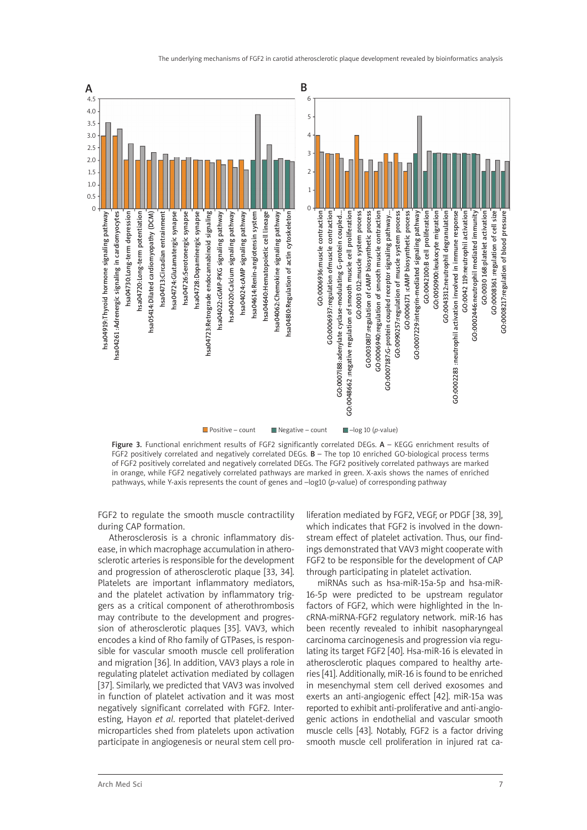



Figure 3. Functional enrichment results of FGF2 significantly correlated DEGs. A - KEGG enrichment results of FGF2 positively correlated and negatively correlated DEGs.  $B$  – The top 10 enriched GO-biological process terms of FGF2 positively correlated and negatively correlated DEGs. The FGF2 positively correlated pathways are marked in orange, while FGF2 negatively correlated pathways are marked in green. X-axis shows the names of enriched pathways, while Y-axis represents the count of genes and –log10 (*p*-value) of corresponding pathway

FGF2 to regulate the smooth muscle contractility during CAP formation.

Atherosclerosis is a chronic inflammatory disease, in which macrophage accumulation in atherosclerotic arteries is responsible for the development and progression of atherosclerotic plaque [33, 34]. Platelets are important inflammatory mediators, and the platelet activation by inflammatory triggers as a critical component of atherothrombosis may contribute to the development and progression of atherosclerotic plaques [35]. VAV3, which encodes a kind of Rho family of GTPases, is responsible for vascular smooth muscle cell proliferation and migration [36]. In addition, VAV3 plays a role in regulating platelet activation mediated by collagen [37]. Similarly, we predicted that VAV3 was involved in function of platelet activation and it was most negatively significant correlated with FGF2. Interesting, Hayon *et al*. reported that platelet-derived microparticles shed from platelets upon activation participate in angiogenesis or neural stem cell proliferation mediated by FGF2, VEGF, or PDGF [38, 39], which indicates that FGF2 is involved in the downstream effect of platelet activation. Thus, our findings demonstrated that VAV3 might cooperate with FGF2 to be responsible for the development of CAP through participating in platelet activation.

miRNAs such as hsa-miR-15a-5p and hsa-miR-16-5p were predicted to be upstream regulator factors of FGF2, which were highlighted in the lncRNA-miRNA-FGF2 regulatory network. miR-16 has been recently revealed to inhibit nasopharyngeal carcinoma carcinogenesis and progression via regulating its target FGF2 [40]. Hsa-miR-16 is elevated in atherosclerotic plaques compared to healthy arteries [41]. Additionally, miR-16 is found to be enriched in mesenchymal stem cell derived exosomes and exerts an anti-angiogenic effect [42]. miR-15a was reported to exhibit anti-proliferative and anti-angiogenic actions in endothelial and vascular smooth muscle cells [43]. Notably, FGF2 is a factor driving smooth muscle cell proliferation in injured rat ca-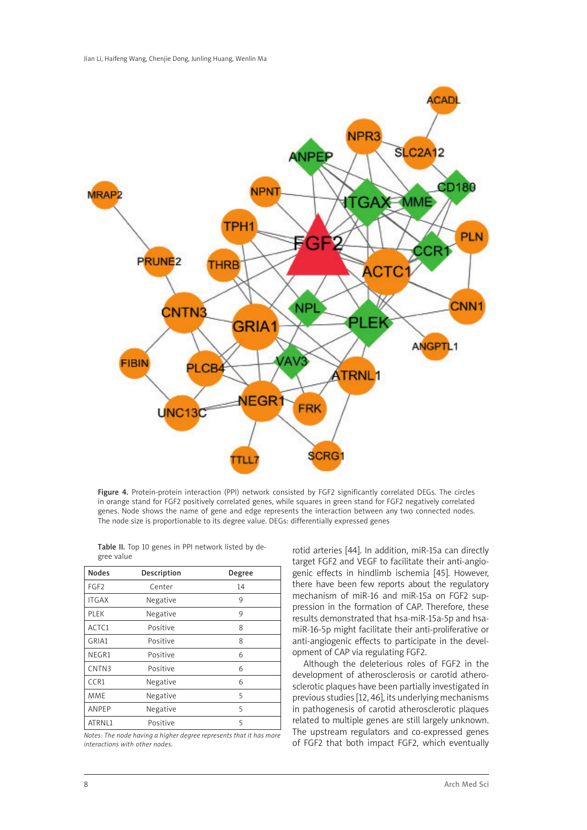

Figure 4. Protein-protein interaction (PPI) network consisted by FGF2 significantly correlated DEGs. The circles in orange stand for FGF2 positively correlated genes, while squares in green stand for FGF2 negatively correlated genes. Node shows the name of gene and edge represents the interaction between any two connected nodes. The node size is proportionable to its degree value. DEGs: differentially expressed genes

| <b>Nodes</b>     | Description | Degree |  |
|------------------|-------------|--------|--|
| FGF <sub>2</sub> | Center      | 14     |  |
| <b>ITGAX</b>     | Negative    | 9      |  |
| PLEK             | Negative    | 9      |  |
| ACTC1            | Positive    | 8      |  |
| GRIA1            | Positive    | 8      |  |
| NEGR1            | Positive    | 6      |  |
| CNTN3            | Positive    | 6      |  |
| CCR1             | Negative    | 6      |  |
| MME              | Negative    | 5      |  |
| <b>ANPEP</b>     | Negative    | 5      |  |
| ATRNL1           | Positive    | 5      |  |

Table II. Top 10 genes in PPI network listed by degree value

*Notes: The node having a higher degree represents that it has more interactions with other nodes.* 

rotid arteries [44]. In addition, miR-15a can directly target FGF2 and VEGF to facilitate their anti-angiogenic effects in hindlimb ischemia [45]. However, there have been few reports about the regulatory mechanism of miR-16 and miR-15a on FGF2 suppression in the formation of CAP. Therefore, these results demonstrated that hsa-miR-15a-5p and hsamiR-16-5p might facilitate their anti-proliferative or anti-angiogenic effects to participate in the development of CAP via regulating FGF2.

Although the deleterious roles of FGF2 in the development of atherosclerosis or carotid atherosclerotic plaques have been partially investigated in previous studies [12, 46], its underlying mechanisms in pathogenesis of carotid atherosclerotic plaques related to multiple genes are still largely unknown. The upstream regulators and co-expressed genes of FGF2 that both impact FGF2, which eventually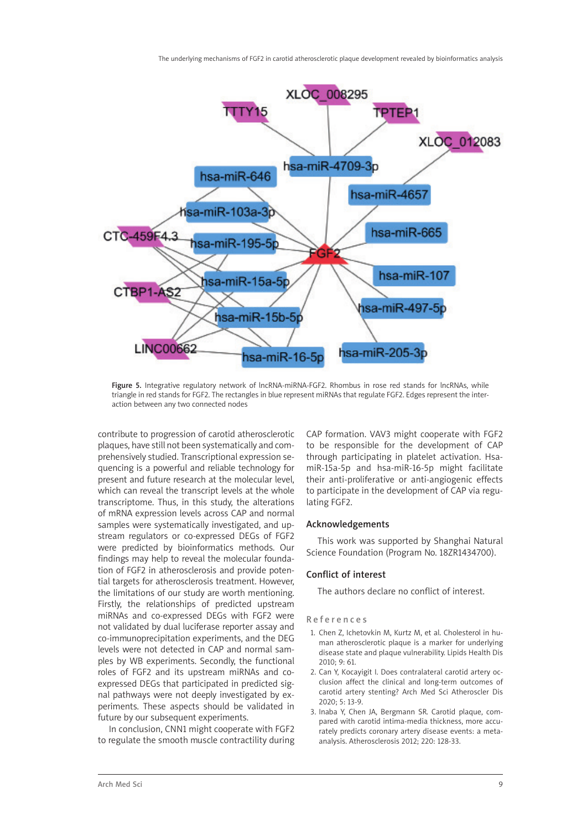

Figure 5. Integrative regulatory network of lncRNA-miRNA-FGF2. Rhombus in rose red stands for lncRNAs, while triangle in red stands for FGF2. The rectangles in blue represent miRNAs that regulate FGF2. Edges represent the interaction between any two connected nodes

contribute to progression of carotid atherosclerotic plaques, have still not been systematically and comprehensively studied. Transcriptional expression sequencing is a powerful and reliable technology for present and future research at the molecular level, which can reveal the transcript levels at the whole transcriptome. Thus, in this study, the alterations of mRNA expression levels across CAP and normal samples were systematically investigated, and upstream regulators or co-expressed DEGs of FGF2 were predicted by bioinformatics methods. Our findings may help to reveal the molecular foundation of FGF2 in atherosclerosis and provide potential targets for atherosclerosis treatment. However, the limitations of our study are worth mentioning. Firstly, the relationships of predicted upstream miRNAs and co-expressed DEGs with FGF2 were not validated by dual luciferase reporter assay and co-immunoprecipitation experiments, and the DEG levels were not detected in CAP and normal samples by WB experiments. Secondly, the functional roles of FGF2 and its upstream miRNAs and coexpressed DEGs that participated in predicted signal pathways were not deeply investigated by experiments. These aspects should be validated in future by our subsequent experiments.

In conclusion, CNN1 might cooperate with FGF2 to regulate the smooth muscle contractility during

CAP formation. VAV3 might cooperate with FGF2 to be responsible for the development of CAP through participating in platelet activation. HsamiR-15a-5p and hsa-miR-16-5p might facilitate their anti-proliferative or anti-angiogenic effects to participate in the development of CAP via regulating FGF2.

#### Acknowledgements

This work was supported by Shanghai Natural Science Foundation (Program No. 18ZR1434700).

#### Conflict of interest

The authors declare no conflict of interest.

#### References

- 1. Chen Z, Ichetovkin M, Kurtz M, et al. Cholesterol in human atherosclerotic plaque is a marker for underlying disease state and plaque vulnerability. Lipids Health Dis 2010; 9: 61.
- 2. Can Y, Kocayigit I. Does contralateral carotid artery occlusion affect the clinical and long-term outcomes of carotid artery stenting? Arch Med Sci Atheroscler Dis 2020; 5: 13-9.
- 3. Inaba Y, Chen JA, Bergmann SR. Carotid plaque, compared with carotid intima-media thickness, more accurately predicts coronary artery disease events: a metaanalysis. Atherosclerosis 2012; 220: 128-33.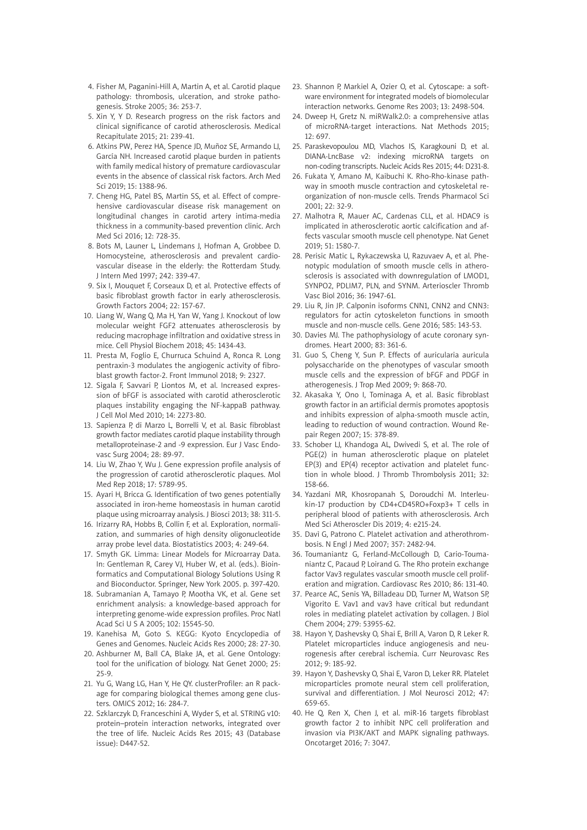- 4. Fisher M, Paganini-Hill A, Martin A, et al. Carotid plaque pathology: thrombosis, ulceration, and stroke pathogenesis. Stroke 2005; 36: 253-7.
- 5. Xin Y, Y D. Research progress on the risk factors and clinical significance of carotid atherosclerosis. Medical Recapitulate 2015; 21: 239-41.
- 6. Atkins PW, Perez HA, Spence JD, Muñoz SE, Armando LJ, García NH. Increased carotid plaque burden in patients with family medical history of premature cardiovascular events in the absence of classical risk factors. Arch Med Sci 2019; 15: 1388-96.
- 7. Cheng HG, Patel BS, Martin SS, et al. Effect of comprehensive cardiovascular disease risk management on longitudinal changes in carotid artery intima-media thickness in a community-based prevention clinic. Arch Med Sci 2016; 12: 728-35.
- 8. Bots M, Launer L, Lindemans J, Hofman A, Grobbee D. Homocysteine, atherosclerosis and prevalent cardiovascular disease in the elderly: the Rotterdam Study. J Intern Med 1997; 242: 339-47.
- 9. Six I, Mouquet F, Corseaux D, et al. Protective effects of basic fibroblast growth factor in early atherosclerosis. Growth Factors 2004; 22: 157-67.
- 10. Liang W, Wang Q, Ma H, Yan W, Yang J. Knockout of low molecular weight FGF2 attenuates atherosclerosis by reducing macrophage infiltration and oxidative stress in mice. Cell Physiol Biochem 2018; 45: 1434-43.
- 11. Presta M, Foglio E, Churruca Schuind A, Ronca R. Long pentraxin-3 modulates the angiogenic activity of fibroblast growth factor-2. Front Immunol 2018; 9: 2327.
- 12. Sigala F, Savvari P, Liontos M, et al. Increased expression of bFGF is associated with carotid atherosclerotic plaques instability engaging the NF-kappaB pathway. J Cell Mol Med 2010; 14: 2273-80.
- 13. Sapienza P, di Marzo L, Borrelli V, et al. Basic fibroblast growth factor mediates carotid plaque instability through metalloproteinase-2 and -9 expression. Eur J Vasc Endovasc Surg 2004; 28: 89-97.
- 14. Liu W, Zhao Y, Wu J. Gene expression profile analysis of the progression of carotid atherosclerotic plaques. Mol Med Rep 2018; 17: 5789-95.
- 15. Ayari H, Bricca G. Identification of two genes potentially associated in iron-heme homeostasis in human carotid plaque using microarray analysis. J Biosci 2013; 38: 311-5.
- 16. Irizarry RA, Hobbs B, Collin F, et al. Exploration, normalization, and summaries of high density oligonucleotide array probe level data. Biostatistics 2003; 4: 249-64.
- 17. Smyth GK. Limma: Linear Models for Microarray Data. In: Gentleman R, Carey VJ, Huber W, et al. (eds.). Bioinformatics and Computational Biology Solutions Using R and Bioconductor. Springer, New York 2005. p. 397-420.
- 18. Subramanian A, Tamayo P, Mootha VK, et al. Gene set enrichment analysis: a knowledge-based approach for interpreting genome-wide expression profiles. Proc Natl Acad Sci U S A 2005; 102: 15545-50.
- 19. Kanehisa M, Goto S. KEGG: Kyoto Encyclopedia of Genes and Genomes. Nucleic Acids Res 2000; 28: 27-30.
- 20. Ashburner M, Ball CA, Blake JA, et al. Gene Ontology: tool for the unification of biology. Nat Genet 2000; 25: 25-9.
- 21. Yu G, Wang LG, Han Y, He QY. clusterProfiler: an R package for comparing biological themes among gene clusters. OMICS 2012; 16: 284-7.
- 22. Szklarczyk D, Franceschini A, Wyder S, et al. STRING v10: protein–protein interaction networks, integrated over the tree of life. Nucleic Acids Res 2015; 43 (Database issue): D447-52.
- 23. Shannon P, Markiel A, Ozier O, et al. Cytoscape: a software environment for integrated models of biomolecular interaction networks. Genome Res 2003; 13: 2498-504.
- 24. Dweep H, Gretz N. miRWalk2.0: a comprehensive atlas of microRNA-target interactions. Nat Methods 2015;  $12: 697.$
- 25. Paraskevopoulou MD, Vlachos IS, Karagkouni D, et al. DIANA-LncBase v2: indexing microRNA targets on non-coding transcripts. Nucleic Acids Res 2015; 44: D231-8.
- 26. Fukata Y, Amano M, Kaibuchi K. Rho-Rho-kinase pathway in smooth muscle contraction and cytoskeletal reorganization of non-muscle cells. Trends Pharmacol Sci 2001; 22: 32-9.
- 27. Malhotra R, Mauer AC, Cardenas CLL, et al. HDAC9 is implicated in atherosclerotic aortic calcification and affects vascular smooth muscle cell phenotype. Nat Genet 2019; 51: 1580-7.
- 28. Perisic Matic L, Rykaczewska U, Razuvaev A, et al. Phenotypic modulation of smooth muscle cells in atherosclerosis is associated with downregulation of LMOD1, SYNPO2, PDLIM7, PLN, and SYNM. Arterioscler Thromb Vasc Biol 2016; 36: 1947-61.
- 29. Liu R, Jin JP. Calponin isoforms CNN1, CNN2 and CNN3: regulators for actin cytoskeleton functions in smooth muscle and non-muscle cells. Gene 2016; 585: 143-53.
- 30. Davies MJ. The pathophysiology of acute coronary syndromes. Heart 2000; 83: 361-6.
- 31. Guo S, Cheng Y, Sun P. Effects of auricularia auricula polysaccharide on the phenotypes of vascular smooth muscle cells and the expression of bFGF and PDGF in atherogenesis. J Trop Med 2009; 9: 868-70.
- 32. Akasaka Y, Ono I, Tominaga A, et al. Basic fibroblast growth factor in an artificial dermis promotes apoptosis and inhibits expression of alpha-smooth muscle actin, leading to reduction of wound contraction. Wound Repair Regen 2007; 15: 378-89.
- 33. Schober LJ, Khandoga AL, Dwivedi S, et al. The role of PGE(2) in human atherosclerotic plaque on platelet EP(3) and EP(4) receptor activation and platelet function in whole blood. J Thromb Thrombolysis 2011; 32: 158-66.
- 34. Yazdani MR, Khosropanah S, Doroudchi M. Interleukin-17 production by CD4+CD45RO+Foxp3+ T cells in peripheral blood of patients with atherosclerosis. Arch Med Sci Atheroscler Dis 2019; 4: e215-24.
- 35. Davì G, Patrono C. Platelet activation and atherothrombosis. N Engl J Med 2007; 357: 2482-94.
- 36. Toumaniantz G, Ferland-McCollough D, Cario-Toumaniantz C, Pacaud P, Loirand G. The Rho protein exchange factor Vav3 regulates vascular smooth muscle cell proliferation and migration. Cardiovasc Res 2010; 86: 131-40.
- 37. Pearce AC, Senis YA, Billadeau DD, Turner M, Watson SP, Vigorito E. Vav1 and vav3 have critical but redundant roles in mediating platelet activation by collagen. J Biol Chem 2004; 279: 53955-62.
- 38. Hayon Y, Dashevsky O, Shai E, Brill A, Varon D, R Leker R. Platelet microparticles induce angiogenesis and neurogenesis after cerebral ischemia. Curr Neurovasc Res 2012; 9: 185-92.
- 39. Hayon Y, Dashevsky O, Shai E, Varon D, Leker RR. Platelet microparticles promote neural stem cell proliferation, survival and differentiation. J Mol Neurosci 2012; 47: 659-65.
- 40. He Q, Ren X, Chen J, et al. miR-16 targets fibroblast growth factor 2 to inhibit NPC cell proliferation and invasion via PI3K/AKT and MAPK signaling pathways. Oncotarget 2016; 7: 3047.